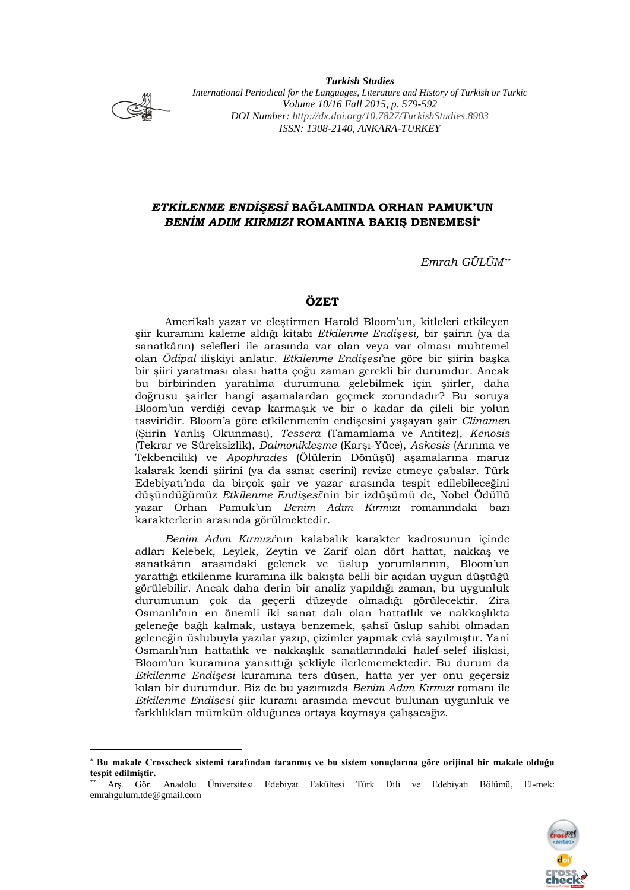

<u>.</u>

*Turkish Studies International Periodical for the Languages, Literature and History of Turkish or Turkic Volume 10/16 Fall 2015, p. 579-592 DOI Number:<http://dx.doi.org/10.7827/TurkishStudies.8903> ISSN: 1308-2140, ANKARA-TURKEY*

# *ETKİLENME ENDİŞESİ* **BAĞLAMINDA ORHAN PAMUK'UN**  *BENİM ADIM KIRMIZI* **ROMANINA BAKIŞ DENEMESİ**

*Emrah GÜLÜM\*\**

### **ÖZET**

Amerikalı yazar ve eleştirmen Harold Bloom'un, kitleleri etkileyen şiir kuramını kaleme aldığı kitabı *Etkilenme Endişesi,* bir şairin (ya da sanatkârın) selefleri ile arasında var olan veya var olması muhtemel olan *Ödipal* ilişkiyi anlatır. *Etkilenme Endişesi*'ne göre bir şiirin başka bir şiiri yaratması olası hatta çoğu zaman gerekli bir durumdur. Ancak bu birbirinden yaratılma durumuna gelebilmek için şiirler, daha doğrusu şairler hangi aşamalardan geçmek zorundadır? Bu soruya Bloom'un verdiği cevap karmaşık ve bir o kadar da çileli bir yolun tasviridir. Bloom'a göre etkilenmenin endişesini yaşayan şair *Clinamen* (Şiirin Yanlış Okunması), *Tessera* (Tamamlama ve Antitez), *Kenosis* (Tekrar ve Süreksizlik), *Daimonikleşme* (Karşı-Yüce), *Askesis* (Arınma ve Tekbencilik) ve *Apophrades* (Ölülerin Dönüşü) aşamalarına maruz kalarak kendi şiirini (ya da sanat eserini) revize etmeye çabalar. Türk Edebiyatı'nda da birçok şair ve yazar arasında tespit edilebileceğini düşündüğümüz *Etkilenme Endişesi*'nin bir izdüşümü de, Nobel Ödüllü yazar Orhan Pamuk'un *Benim Adım Kırmızı* romanındaki bazı karakterlerin arasında görülmektedir.

*Benim Adım Kırmızı*'nın kalabalık karakter kadrosunun içinde adları Kelebek, Leylek, Zeytin ve Zarif olan dört hattat, nakkaş ve sanatkârın arasındaki gelenek ve üslup yorumlarının, Bloom'un yarattığı etkilenme kuramına ilk bakışta belli bir açıdan uygun düştüğü görülebilir. Ancak daha derin bir analiz yapıldığı zaman, bu uygunluk durumunun çok da geçerli düzeyde olmadığı görülecektir. Zira Osmanlı'nın en önemli iki sanat dalı olan hattatlık ve nakkaşlıkta geleneğe bağlı kalmak, ustaya benzemek, şahsî üslup sahibi olmadan geleneğin üslubuyla yazılar yazıp, çizimler yapmak evlâ sayılmıştır. Yani Osmanlı'nın hattatlık ve nakkaşlık sanatlarındaki halef-selef ilişkisi, Bloom'un kuramına yansıttığı şekliyle ilerlememektedir. Bu durum da *Etkilenme Endişesi* kuramına ters düşen, hatta yer yer onu geçersiz kılan bir durumdur. Biz de bu yazımızda *Benim Adım Kırmızı* romanı ile *Etkilenme Endişesi* şiir kuramı arasında mevcut bulunan uygunluk ve farklılıkları mümkün olduğunca ortaya koymaya çalışacağız.

<sup>\*\*</sup> Arş. Gör. Anadolu Üniversitesi Edebiyat Fakültesi Türk Dili ve Edebiyatı Bölümü, El-mek: emrahgulum.tde@gmail.com



**Bu makale Crosscheck sistemi tarafından taranmış ve bu sistem sonuçlarına göre orijinal bir makale olduğu tespit edilmiştir.**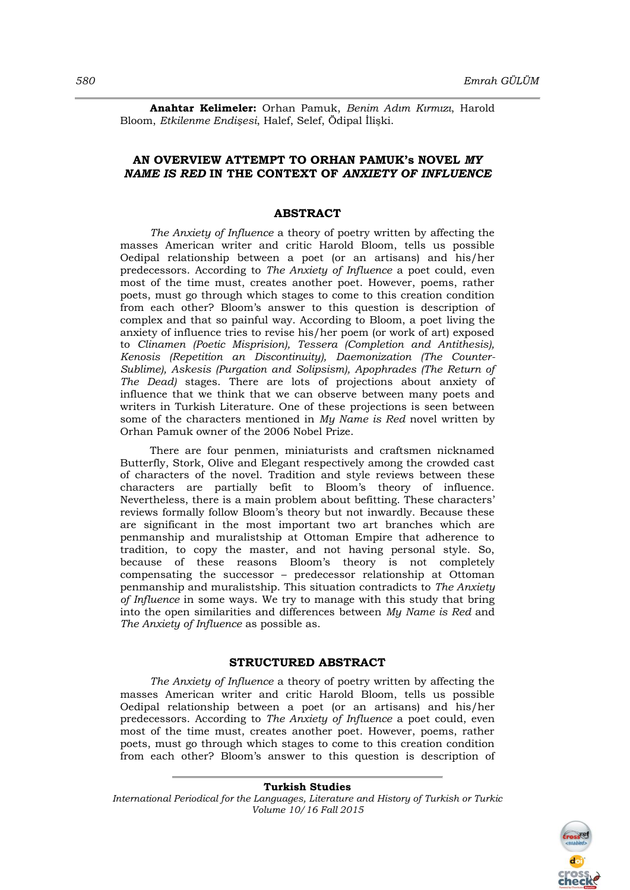**Anahtar Kelimeler:** Orhan Pamuk, *Benim Adım Kırmızı*, Harold Bloom, *Etkilenme Endişesi*, Halef, Selef, Ödipal İlişki.

### **AN OVERVIEW ATTEMPT TO ORHAN PAMUK's NOVEL** *MY NAME IS RED* **IN THE CONTEXT OF** *ANXIETY OF INFLUENCE*

#### **ABSTRACT**

*The Anxiety of Influence* a theory of poetry written by affecting the masses American writer and critic Harold Bloom, tells us possible Oedipal relationship between a poet (or an artisans) and his/her predecessors. According to *The Anxiety of Influence* a poet could, even most of the time must, creates another poet. However, poems, rather poets, must go through which stages to come to this creation condition from each other? Bloom's answer to this question is description of complex and that so painful way. According to Bloom, a poet living the anxiety of influence tries to revise his/her poem (or work of art) exposed to *Clinamen (Poetic Misprision), Tessera (Completion and Antithesis), Kenosis (Repetition an Discontinuity), Daemonization (The Counter-Sublime), Askesis (Purgation and Solipsism), Apophrades (The Return of The Dead)* stages. There are lots of projections about anxiety of influence that we think that we can observe between many poets and writers in Turkish Literature. One of these projections is seen between some of the characters mentioned in *My Name is Red* novel written by Orhan Pamuk owner of the 2006 Nobel Prize.

There are four penmen, miniaturists and craftsmen nicknamed Butterfly, Stork, Olive and Elegant respectively among the crowded cast of characters of the novel. Tradition and style reviews between these characters are partially befit to Bloom's theory of influence. Nevertheless, there is a main problem about befitting. These characters' reviews formally follow Bloom's theory but not inwardly. Because these are significant in the most important two art branches which are penmanship and muralistship at Ottoman Empire that adherence to tradition, to copy the master, and not having personal style. So, because of these reasons Bloom's theory is not completely compensating the successor – predecessor relationship at Ottoman penmanship and muralistship. This situation contradicts to *The Anxiety of Influence* in some ways. We try to manage with this study that bring into the open similarities and differences between *My Name is Red* and *The Anxiety of Influence* as possible as.

#### **STRUCTURED ABSTRACT**

*The Anxiety of Influence* a theory of poetry written by affecting the masses American writer and critic Harold Bloom, tells us possible Oedipal relationship between a poet (or an artisans) and his/her predecessors. According to *The Anxiety of Influence* a poet could, even most of the time must, creates another poet. However, poems, rather poets, must go through which stages to come to this creation condition from each other? Bloom's answer to this question is description of

#### **Turkish Studies**

*International Periodical for the Languages, Literature and History of Turkish or Turkic Volume 10/16 Fall 2015*

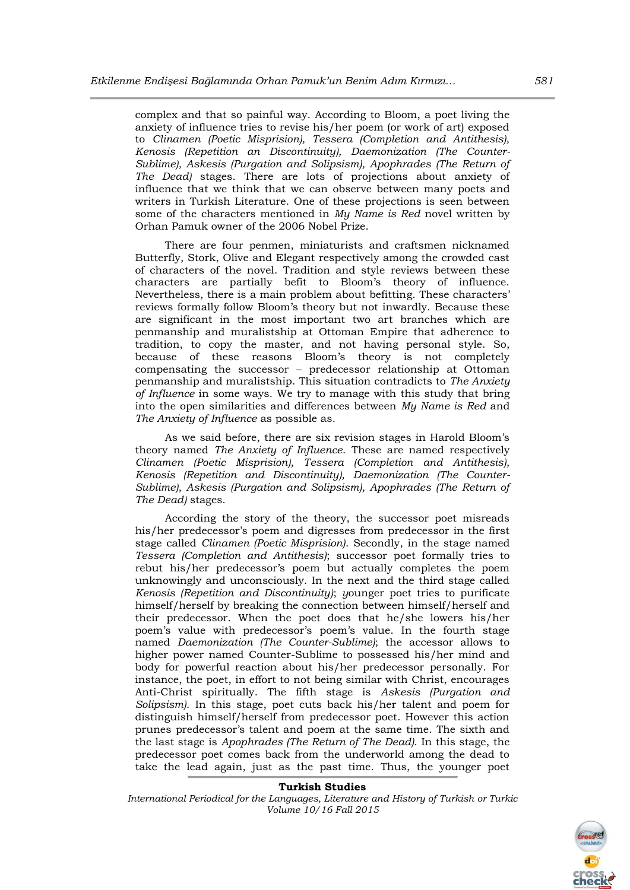complex and that so painful way. According to Bloom, a poet living the anxiety of influence tries to revise his/her poem (or work of art) exposed to *Clinamen (Poetic Misprision), Tessera (Completion and Antithesis), Kenosis (Repetition an Discontinuity), Daemonization (The Counter-Sublime), Askesis (Purgation and Solipsism), Apophrades (The Return of The Dead)* stages. There are lots of projections about anxiety of influence that we think that we can observe between many poets and writers in Turkish Literature. One of these projections is seen between some of the characters mentioned in *My Name is Red* novel written by Orhan Pamuk owner of the 2006 Nobel Prize.

There are four penmen, miniaturists and craftsmen nicknamed Butterfly, Stork, Olive and Elegant respectively among the crowded cast of characters of the novel. Tradition and style reviews between these characters are partially befit to Bloom's theory of influence. Nevertheless, there is a main problem about befitting. These characters' reviews formally follow Bloom's theory but not inwardly. Because these are significant in the most important two art branches which are penmanship and muralistship at Ottoman Empire that adherence to tradition, to copy the master, and not having personal style. So, because of these reasons Bloom's theory is not completely compensating the successor – predecessor relationship at Ottoman penmanship and muralistship. This situation contradicts to *The Anxiety of Influence* in some ways. We try to manage with this study that bring into the open similarities and differences between *My Name is Red* and *The Anxiety of Influence* as possible as.

As we said before, there are six revision stages in Harold Bloom's theory named *The Anxiety of Influence*. These are named respectively *Clinamen (Poetic Misprision), Tessera (Completion and Antithesis), Kenosis (Repetition and Discontinuity), Daemonization (The Counter-Sublime), Askesis (Purgation and Solipsism), Apophrades (The Return of The Dead)* stages.

According the story of the theory, the successor poet misreads his/her predecessor's poem and digresses from predecessor in the first stage called *Clinamen (Poetic Misprision)*. Secondly, in the stage named *Tessera (Completion and Antithesis)*; successor poet formally tries to rebut his/her predecessor's poem but actually completes the poem unknowingly and unconsciously. In the next and the third stage called *Kenosis (Repetition and Discontinuity)*; *y*ounger poet tries to purificate himself/herself by breaking the connection between himself/herself and their predecessor. When the poet does that he/she lowers his/her poem's value with predecessor's poem's value. In the fourth stage named *Daemonization (The Counter-Sublime)*; the accessor allows to higher power named Counter-Sublime to possessed his/her mind and body for powerful reaction about his/her predecessor personally. For instance, the poet, in effort to not being similar with Christ, encourages Anti-Christ spiritually. The fifth stage is *Askesis (Purgation and Solipsism)*. In this stage, poet cuts back his/her talent and poem for distinguish himself/herself from predecessor poet. However this action prunes predecessor's talent and poem at the same time. The sixth and the last stage is *Apophrades (The Return of The Dead)*. In this stage, the predecessor poet comes back from the underworld among the dead to take the lead again, just as the past time. Thus, the younger poet

#### **Turkish Studies**

*International Periodical for the Languages, Literature and History of Turkish or Turkic Volume 10/16 Fall 2015*

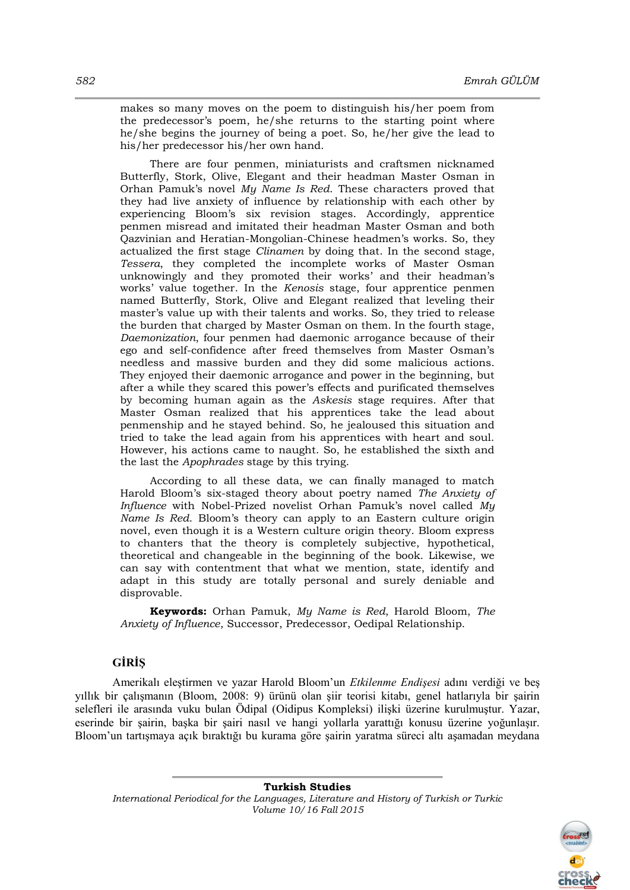makes so many moves on the poem to distinguish his/her poem from the predecessor's poem, he/she returns to the starting point where he/she begins the journey of being a poet. So, he/her give the lead to his/her predecessor his/her own hand.

There are four penmen, miniaturists and craftsmen nicknamed Butterfly, Stork, Olive, Elegant and their headman Master Osman in Orhan Pamuk's novel *My Name Is Red*. These characters proved that they had live anxiety of influence by relationship with each other by experiencing Bloom's six revision stages. Accordingly, apprentice penmen misread and imitated their headman Master Osman and both Qazvinian and Heratian-Mongolian-Chinese headmen's works. So, they actualized the first stage *Clinamen* by doing that. In the second stage, *Tessera*, they completed the incomplete works of Master Osman unknowingly and they promoted their works' and their headman's works' value together. In the *Kenosis* stage, four apprentice penmen named Butterfly, Stork, Olive and Elegant realized that leveling their master's value up with their talents and works. So, they tried to release the burden that charged by Master Osman on them. In the fourth stage, *Daemonization*, four penmen had daemonic arrogance because of their ego and self-confidence after freed themselves from Master Osman's needless and massive burden and they did some malicious actions. They enjoyed their daemonic arrogance and power in the beginning, but after a while they scared this power's effects and purificated themselves by becoming human again as the *Askesis* stage requires. After that Master Osman realized that his apprentices take the lead about penmenship and he stayed behind. So, he jealoused this situation and tried to take the lead again from his apprentices with heart and soul. However, his actions came to naught. So, he established the sixth and the last the *Apophrades* stage by this trying.

According to all these data, we can finally managed to match Harold Bloom's six-staged theory about poetry named *The Anxiety of Influence* with Nobel-Prized novelist Orhan Pamuk's novel called *My Name Is Red*. Bloom's theory can apply to an Eastern culture origin novel, even though it is a Western culture origin theory. Bloom express to chanters that the theory is completely subjective, hypothetical, theoretical and changeable in the beginning of the book. Likewise, we can say with contentment that what we mention, state, identify and adapt in this study are totally personal and surely deniable and disprovable.

**Keywords:** Orhan Pamuk, *My Name is Red*, Harold Bloom, *The Anxiety of Influence*, Successor, Predecessor, Oedipal Relationship.

## **GİRİŞ**

Amerikalı eleştirmen ve yazar Harold Bloom'un *Etkilenme Endişesi* adını verdiği ve beş yıllık bir çalışmanın (Bloom, 2008: 9) ürünü olan şiir teorisi kitabı, genel hatlarıyla bir şairin selefleri ile arasında vuku bulan Ödipal (Oidipus Kompleksi) ilişki üzerine kurulmuştur. Yazar, eserinde bir şairin, başka bir şairi nasıl ve hangi yollarla yarattığı konusu üzerine yoğunlaşır. Bloom'un tartışmaya açık bıraktığı bu kurama göre şairin yaratma süreci altı aşamadan meydana

**Turkish Studies** *International Periodical for the Languages, Literature and History of Turkish or Turkic Volume 10/16 Fall 2015*

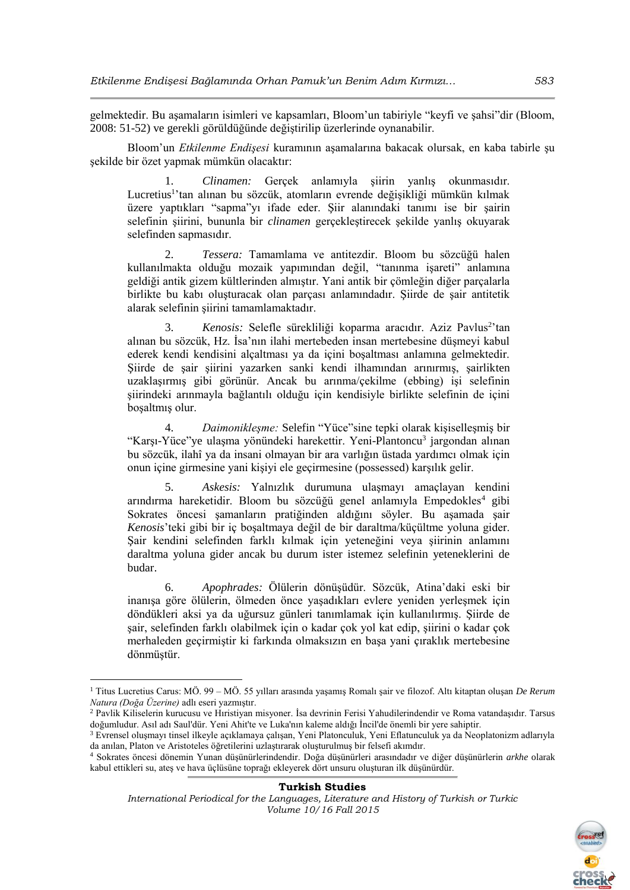gelmektedir. Bu aşamaların isimleri ve kapsamları, Bloom'un tabiriyle "keyfi ve şahsi"dir (Bloom, 2008: 51-52) ve gerekli görüldüğünde değiştirilip üzerlerinde oynanabilir.

Bloom'un *Etkilenme Endişesi* kuramının aşamalarına bakacak olursak, en kaba tabirle şu şekilde bir özet yapmak mümkün olacaktır:

1. *Clinamen:* Gerçek anlamıyla şiirin yanlış okunmasıdır. Lucretius<sup>1</sup>'tan alınan bu sözcük, atomların evrende değişikliği mümkün kılmak üzere yaptıkları "sapma"yı ifade eder. Şiir alanındaki tanımı ise bir şairin selefinin şiirini, bununla bir *clinamen* gerçekleştirecek şekilde yanlış okuyarak selefinden sapmasıdır.

2. *Tessera:* Tamamlama ve antitezdir. Bloom bu sözcüğü halen kullanılmakta olduğu mozaik yapımından değil, "tanınma işareti" anlamına geldiği antik gizem kültlerinden almıştır. Yani antik bir çömleğin diğer parçalarla birlikte bu kabı oluşturacak olan parçası anlamındadır. Şiirde de şair antitetik alarak selefinin şiirini tamamlamaktadır.

3. Kenosis: Selefle sürekliliği koparma aracıdır. Aziz Pavlus<sup>2</sup>'tan alınan bu sözcük, Hz. İsa'nın ilahi mertebeden insan mertebesine düşmeyi kabul ederek kendi kendisini alçaltması ya da içini boşaltması anlamına gelmektedir. Şiirde de şair şiirini yazarken sanki kendi ilhamından arınırmış, şairlikten uzaklaşırmış gibi görünür. Ancak bu arınma/çekilme (ebbing) işi selefinin şiirindeki arınmayla bağlantılı olduğu için kendisiyle birlikte selefinin de içini boşaltmış olur.

4. *Daimonikleşme:* Selefin "Yüce"sine tepki olarak kişiselleşmiş bir "Karşı-Yüce"ye ulaşma yönündeki harekettir. Yeni-Plantoncu<sup>3</sup> jargondan alınan bu sözcük, ilahî ya da insani olmayan bir ara varlığın üstada yardımcı olmak için onun içine girmesine yani kişiyi ele geçirmesine (possessed) karşılık gelir.

5. *Askesis:* Yalnızlık durumuna ulaşmayı amaçlayan kendini arındırma hareketidir. Bloom bu sözcüğü genel anlamıyla Empedokles<sup>4</sup> gibi Sokrates öncesi şamanların pratiğinden aldığını söyler. Bu aşamada şair *Kenosis*'teki gibi bir iç boşaltmaya değil de bir daraltma/küçültme yoluna gider. Şair kendini selefinden farklı kılmak için yeteneğini veya şiirinin anlamını daraltma yoluna gider ancak bu durum ister istemez selefinin yeteneklerini de budar.

6. *Apophrades:* Ölülerin dönüşüdür. Sözcük, Atina'daki eski bir inanışa göre ölülerin, ölmeden önce yaşadıkları evlere yeniden yerleşmek için döndükleri aksi ya da uğursuz günleri tanımlamak için kullanılırmış. Şiirde de şair, selefinden farklı olabilmek için o kadar çok yol kat edip, şiirini o kadar çok merhaleden geçirmiştir ki farkında olmaksızın en başa yani çıraklık mertebesine dönmüştür.

1

#### **Turkish Studies**



<sup>1</sup> Titus Lucretius Carus: MÖ. 99 – MÖ. 55 yılları arasında yaşamış Romalı şair ve filozof. Altı kitaptan oluşan *De Rerum Natura (Doğa Üzerine)* adlı eseri yazmıştır.

<sup>2</sup> Pavlik Kiliselerin kurucusu ve Hıristiyan misyoner. İsa devrinin Ferisi Yahudilerindendir ve Roma vatandaşıdır. Tarsus doğumludur. Asıl adı Saul'dür. Yeni Ahit'te ve Luka'nın kaleme aldığı İncil'de önemli bir yere sahiptir.

<sup>3</sup> Evrensel oluşmayı tinsel ilkeyle açıklamaya çalışan, Yeni Platonculuk, Yeni Eflatunculuk ya da Neoplatonizm adlarıyla da anılan, Platon ve Aristoteles öğretilerini uzlaştırarak oluşturulmuş bir felsefi akımdır.

<sup>4</sup> Sokrates öncesi dönemin Yunan düşünürlerindendir. Doğa düşünürleri arasındadır ve diğer düşünürlerin *arkhe* olarak kabul ettikleri su, ateş ve hava üçlüsüne toprağı ekleyerek dört unsuru oluşturan ilk düşünürdür.

*International Periodical for the Languages, Literature and History of Turkish or Turkic Volume 10/16 Fall 2015*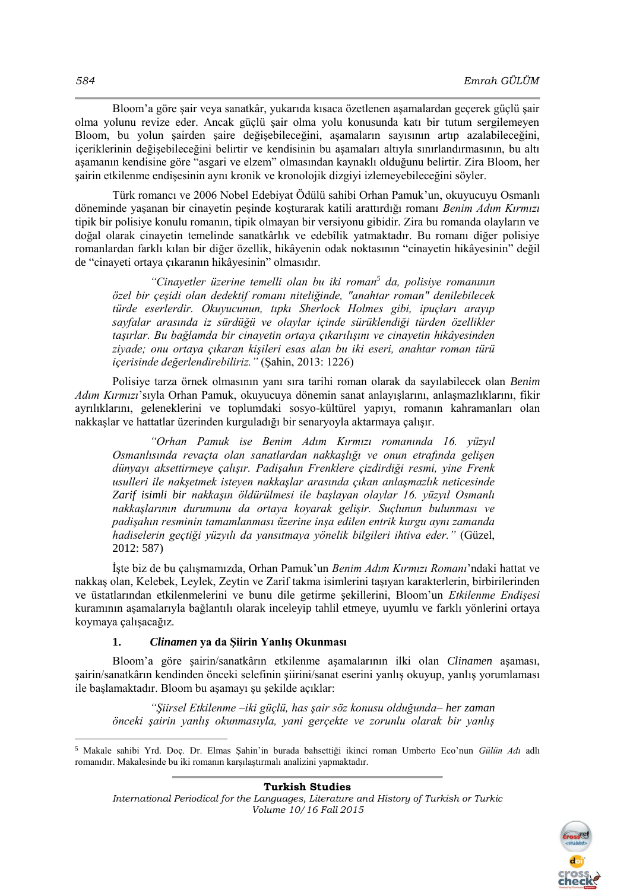Bloom'a göre şair veya sanatkâr, yukarıda kısaca özetlenen aşamalardan geçerek güçlü şair olma yolunu revize eder. Ancak güçlü şair olma yolu konusunda katı bir tutum sergilemeyen Bloom, bu yolun şairden şaire değişebileceğini, aşamaların sayısının artıp azalabileceğini, içeriklerinin değişebileceğini belirtir ve kendisinin bu aşamaları altıyla sınırlandırmasının, bu altı aşamanın kendisine göre "asgari ve elzem" olmasından kaynaklı olduğunu belirtir. Zira Bloom, her şairin etkilenme endişesinin aynı kronik ve kronolojik dizgiyi izlemeyebileceğini söyler.

Türk romancı ve 2006 Nobel Edebiyat Ödülü sahibi Orhan Pamuk'un, okuyucuyu Osmanlı döneminde yaşanan bir cinayetin peşinde koşturarak katili arattırdığı romanı *Benim Adım Kırmızı* tipik bir polisiye konulu romanın, tipik olmayan bir versiyonu gibidir. Zira bu romanda olayların ve doğal olarak cinayetin temelinde sanatkârlık ve edebîlik yatmaktadır. Bu romanı diğer polisiye romanlardan farklı kılan bir diğer özellik, hikâyenin odak noktasının "cinayetin hikâyesinin" değil de "cinayeti ortaya çıkaranın hikâyesinin" olmasıdır.

*"Cinayetler üzerine temelli olan bu iki roman<sup>5</sup> da, polisiye romanının özel bir çeşidi olan dedektif romanı niteliğinde, ″anahtar roman″ denilebilecek türde eserlerdir. Okuyucunun, tıpkı Sherlock Holmes gibi, ipuçları arayıp sayfalar arasında iz sürdüğü ve olaylar içinde sürüklendiği türden özellikler taşırlar. Bu bağlamda bir cinayetin ortaya çıkarılışını ve cinayetin hikâyesinden ziyade; onu ortaya çıkaran kişileri esas alan bu iki eseri, anahtar roman türü içerisinde değerlendirebiliriz."* (Şahin, 2013: 1226)

Polisiye tarza örnek olmasının yanı sıra tarihi roman olarak da sayılabilecek olan *Benim Adım Kırmızı*'sıyla Orhan Pamuk, okuyucuya dönemin sanat anlayışlarını, anlaşmazlıklarını, fikir ayrılıklarını, geleneklerini ve toplumdaki sosyo-kültürel yapıyı, romanın kahramanları olan nakkaşlar ve hattatlar üzerinden kurguladığı bir senaryoyla aktarmaya çalışır.

*"Orhan Pamuk ise Benim Adım Kırmızı romanında 16. yüzyıl Osmanlısında revaçta olan sanatlardan nakkaşlığı ve onun etrafında gelişen dünyayı aksettirmeye çalışır. Padişahın Frenklere çizdirdiği resmi, yine Frenk usulleri ile nakşetmek isteyen nakkaşlar arasında çıkan anlaşmazlık neticesinde Zarif isimli bir nakkaşın öldürülmesi ile başlayan olaylar 16. yüzyıl Osmanlı nakkaşlarının durumunu da ortaya koyarak gelişir. Suçlunun bulunması ve padişahın resminin tamamlanması üzerine inşa edilen entrik kurgu aynı zamanda hadiselerin geçtiği yüzyılı da yansıtmaya yönelik bilgileri ihtiva eder."* (Güzel, 2012: 587)

İşte biz de bu çalışmamızda, Orhan Pamuk'un *Benim Adım Kırmızı Romanı*'ndaki hattat ve nakkaş olan, Kelebek, Leylek, Zeytin ve Zarif takma isimlerini taşıyan karakterlerin, birbirilerinden ve üstatlarından etkilenmelerini ve bunu dile getirme şekillerini, Bloom'un *Etkilenme Endişesi* kuramının aşamalarıyla bağlantılı olarak inceleyip tahlil etmeye, uyumlu ve farklı yönlerini ortaya koymaya çalışacağız.

## **1.** *Clinamen* **ya da Şiirin Yanlış Okunması**

Bloom'a göre şairin/sanatkârın etkilenme aşamalarının ilki olan *Clinamen* aşaması, şairin/sanatkârın kendinden önceki selefinin şiirini/sanat eserini yanlış okuyup, yanlış yorumlaması ile başlamaktadır. Bloom bu aşamayı şu şekilde açıklar:

*"Şiirsel Etkilenme –iki güçlü, has şair söz konusu olduğunda– her zaman önceki şairin yanlış okunmasıyla, yani gerçekte ve zorunlu olarak bir yanlış* 

 $\overline{a}$ <sup>5</sup> Makale sahibi Yrd. Doç. Dr. Elmas Şahin'in burada bahsettiği ikinci roman Umberto Eco'nun *Gülün Adı* adlı romanıdır. Makalesinde bu iki romanın karşılaştırmalı analizini yapmaktadır.

### **Turkish Studies** *International Periodical for the Languages, Literature and History of Turkish or Turkic Volume 10/16 Fall 2015*

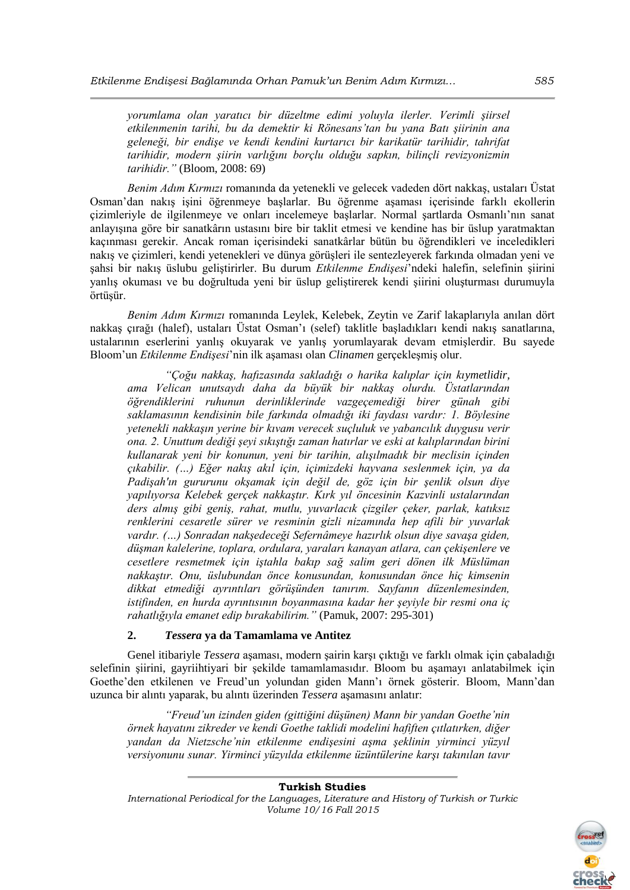*yorumlama olan yaratıcı bir düzeltme edimi yoluyla ilerler. Verimli şiirsel etkilenmenin tarihi, bu da demektir ki Rönesans'tan bu yana Batı şiirinin ana geleneği, bir endişe ve kendi kendini kurtarıcı bir karikatür tarihidir, tahrifat tarihidir, modern şiirin varlığını borçlu olduğu sapkın, bilinçli revizyonizmin tarihidir."* (Bloom, 2008: 69)

*Benim Adım Kırmızı* romanında da yetenekli ve gelecek vadeden dört nakkaş, ustaları Üstat Osman'dan nakış işini öğrenmeye başlarlar. Bu öğrenme aşaması içerisinde farklı ekollerin çizimleriyle de ilgilenmeye ve onları incelemeye başlarlar. Normal şartlarda Osmanlı'nın sanat anlayışına göre bir sanatkârın ustasını bire bir taklit etmesi ve kendine has bir üslup yaratmaktan kaçınması gerekir. Ancak roman içerisindeki sanatkârlar bütün bu öğrendikleri ve inceledikleri nakış ve çizimleri, kendi yetenekleri ve dünya görüşleri ile sentezleyerek farkında olmadan yeni ve şahsi bir nakış üslubu geliştirirler. Bu durum *Etkilenme Endişesi*'ndeki halefin, selefinin şiirini yanlış okuması ve bu doğrultuda yeni bir üslup geliştirerek kendi şiirini oluşturması durumuyla örtüşür.

*Benim Adım Kırmızı* romanında Leylek, Kelebek, Zeytin ve Zarif lakaplarıyla anılan dört nakkaş çırağı (halef), ustaları Üstat Osman'ı (selef) taklitle başladıkları kendi nakış sanatlarına, ustalarının eserlerini yanlış okuyarak ve yanlış yorumlayarak devam etmişlerdir. Bu sayede Bloom'un *Etkilenme Endişesi*'nin ilk aşaması olan *Clinamen* gerçekleşmiş olur.

*"Çoğu nakkaş, hafızasında sakladığı o harika kalıplar için kıymetlidir, ama Velican unutsaydı daha da büyük bir nakkaş olurdu. Üstatlarından öğrendiklerini ruhunun derinliklerinde vazgeçemediği birer günah gibi saklamasının kendisinin bile farkında olmadığı iki faydası vardır: 1. Böylesine yetenekli nakkaşın yerine bir kıvam verecek suçluluk ve yabancılık duygusu verir ona. 2. Unuttum dediği şeyi sıkıştığı zaman hatırlar ve eski at kalıplarından birini kullanarak yeni bir konunun, yeni bir tarihin, alışılmadık bir meclisin içinden çıkabilir. (…) Eğer nakış akıl için, içimizdeki hayvana seslenmek için, ya da Padişah'ın gururunu okşamak için değil de, göz için bir şenlik olsun diye yapılıyorsa Kelebek gerçek nakkaştır. Kırk yıl öncesinin Kazvinli ustalarından ders almış gibi geniş, rahat, mutlu, yuvarlacık çizgiler çeker, parlak, katıksız renklerini cesaretle sürer ve resminin gizli nizamında hep afili bir yuvarlak vardır. (…) Sonradan nakşedeceği Sefernâmeye hazırlık olsun diye savaşa giden, düşman kalelerine, toplara, ordulara, yaraları kanayan atlara, can çekişenlere ve cesetlere resmetmek için iştahla bakıp sağ salim geri dönen ilk Müslüman nakkaştır. Onu, üslubundan önce konusundan, konusundan önce hiç kimsenin dikkat etmediği ayrıntıları görüşünden tanırım. Sayfanın düzenlemesinden, istifinden, en hurda ayrıntısının boyanmasına kadar her şeyiyle bir resmi ona iç rahatlığıyla emanet edip bırakabilirim."* (Pamuk, 2007: 295-301)

### **2.** *Tessera* **ya da Tamamlama ve Antitez**

Genel itibariyle *Tessera* aşaması, modern şairin karşı çıktığı ve farklı olmak için çabaladığı selefinin şiirini, gayriihtiyari bir şekilde tamamlamasıdır. Bloom bu aşamayı anlatabilmek için Goethe'den etkilenen ve Freud'un yolundan giden Mann'ı örnek gösterir. Bloom, Mann'dan uzunca bir alıntı yaparak, bu alıntı üzerinden *Tessera* aşamasını anlatır:

*"Freud'un izinden giden (gittiğini düşünen) Mann bir yandan Goethe'nin örnek hayatını zikreder ve kendi Goethe taklidi modelini hafiften çıtlatırken, diğer yandan da Nietzsche'nin etkilenme endişesini aşma şeklinin yirminci yüzyıl versiyonunu sunar. Yirminci yüzyılda etkilenme üzüntülerine karşı takınılan tavır* 

**Turkish Studies** *International Periodical for the Languages, Literature and History of Turkish or Turkic Volume 10/16 Fall 2015*

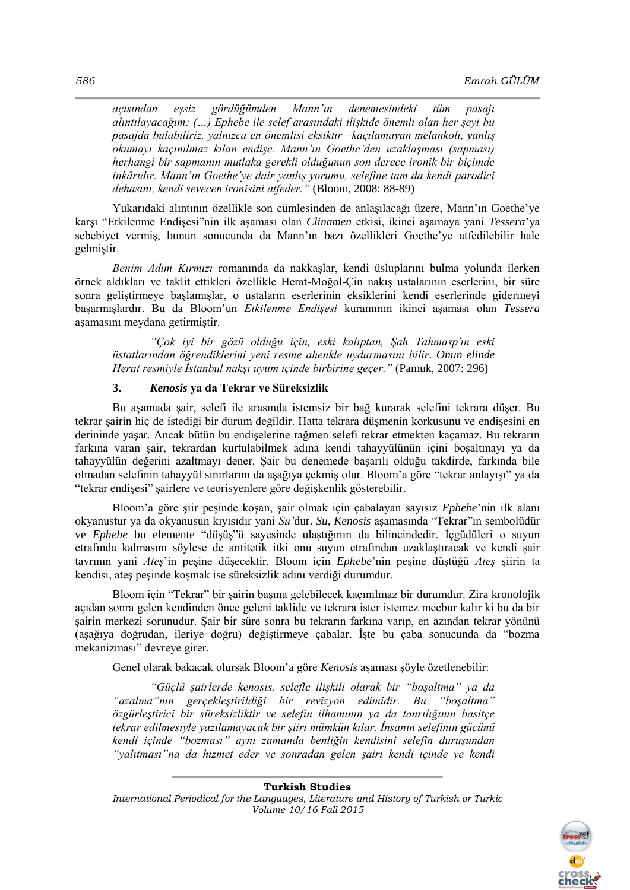*açısından eşsiz gördüğümden Mann'ın denemesindeki tüm pasajı alıntılayacağım: (…) Ephebe ile selef arasındaki ilişkide önemli olan her şeyi bu pasajda bulabiliriz, yalnızca en önemlisi eksiktir –kaçılamayan melankoli, yanlış okumayı kaçınılmaz kılan endişe. Mann'ın Goethe'den uzaklaşması (sapması) herhangi bir sapmanın mutlaka gerekli olduğunun son derece ironik bir biçimde inkârıdır. Mann'ın Goethe'ye dair yanlış yorumu, selefine tam da kendi parodici dehasını, kendi sevecen ironisini atfeder."* (Bloom, 2008: 88-89)

Yukarıdaki alıntının özellikle son cümlesinden de anlaşılacağı üzere, Mann'ın Goethe'ye karşı "Etkilenme Endişesi"nin ilk aşaması olan *Clinamen* etkisi, ikinci aşamaya yani *Tessera*'ya sebebiyet vermiş, bunun sonucunda da Mann'ın bazı özellikleri Goethe'ye atfedilebilir hale gelmiştir.

*Benim Adım Kırmızı* romanında da nakkaşlar, kendi üsluplarını bulma yolunda ilerken örnek aldıkları ve taklit ettikleri özellikle Herat-Moğol-Çin nakış ustalarının eserlerini, bir süre sonra geliştirmeye başlamışlar, o ustaların eserlerinin eksiklerini kendi eserlerinde gidermeyi başarmışlardır. Bu da Bloom'un *Etkilenme Endişesi* kuramının ikinci aşaması olan *Tessera* aşamasını meydana getirmiştir.

*"Çok iyi bir gözü olduğu için, eski kalıptan, Şah Tahmasp'ın eski üstatlarından öğrendiklerini yeni resme ahenkle uydurmasını bilir. Onun elinde Herat resmiyle İstanbul nakşı uyum içinde birbirine geçer."* (Pamuk, 2007: 296)

## **3.** *Kenosis* **ya da Tekrar ve Süreksizlik**

Bu aşamada şair, selefi ile arasında istemsiz bir bağ kurarak selefini tekrara düşer. Bu tekrar şairin hiç de istediği bir durum değildir. Hatta tekrara düşmenin korkusunu ve endişesini en derininde yaşar. Ancak bütün bu endişelerine rağmen selefi tekrar etmekten kaçamaz. Bu tekrarın farkına varan şair, tekrardan kurtulabilmek adına kendi tahayyülünün içini boşaltmayı ya da tahayyülün değerini azaltmayı dener. Şair bu denemede başarılı olduğu takdirde, farkında bile olmadan selefinin tahayyül sınırlarını da aşağıya çekmiş olur. Bloom'a göre "tekrar anlayışı" ya da "tekrar endişesi" şairlere ve teorisyenlere göre değişkenlik gösterebilir.

Bloom'a göre şiir peşinde koşan, şair olmak için çabalayan sayısız *Ephebe*'nin ilk alanı okyanustur ya da okyanusun kıyısıdır yani *Su'*dur. *Su, Kenosis* aşamasında "Tekrar"ın sembolüdür ve *Ephebe* bu elemente "düşüş"ü sayesinde ulaştığının da bilincindedir. İçgüdüleri o suyun etrafında kalmasını söylese de antitetik itki onu suyun etrafından uzaklaştıracak ve kendi şair tavrının yani *Ateş*'in peşine düşecektir. Bloom için *Ephebe*'nin peşine düştüğü *Ateş* şiirin ta kendisi, ateş peşinde koşmak ise süreksizlik adını verdiği durumdur.

Bloom için "Tekrar" bir şairin başına gelebilecek kaçınılmaz bir durumdur. Zira kronolojik açıdan sonra gelen kendinden önce geleni taklide ve tekrara ister istemez mecbur kalır ki bu da bir şairin merkezi sorunudur. Şair bir süre sonra bu tekrarın farkına varıp, en azından tekrar yönünü (aşağıya doğrudan, ileriye doğru) değiştirmeye çabalar. İşte bu çaba sonucunda da "bozma mekanizması" devreye girer.

Genel olarak bakacak olursak Bloom'a göre *Kenosis* aşaması şöyle özetlenebilir:

*"Güçlü şairlerde kenosis, selefle ilişkili olarak bir "boşaltma" ya da "azalma"nın gerçekleştirildiği bir revizyon edimidir. Bu "boşaltma" özgürleştirici bir süreksizliktir ve selefin ilhamının ya da tanrılığının basitçe tekrar edilmesiyle yazılamayacak bir şiiri mümkün kılar. İnsanın selefinin gücünü kendi içinde "bozması" aynı zamanda benliğin kendisini selefin duruşundan "yalıtması"na da hizmet eder ve sonradan gelen şairi kendi içinde ve kendi* 

#### **Turkish Studies**

*International Periodical for the Languages, Literature and History of Turkish or Turkic Volume 10/16 Fall 2015*

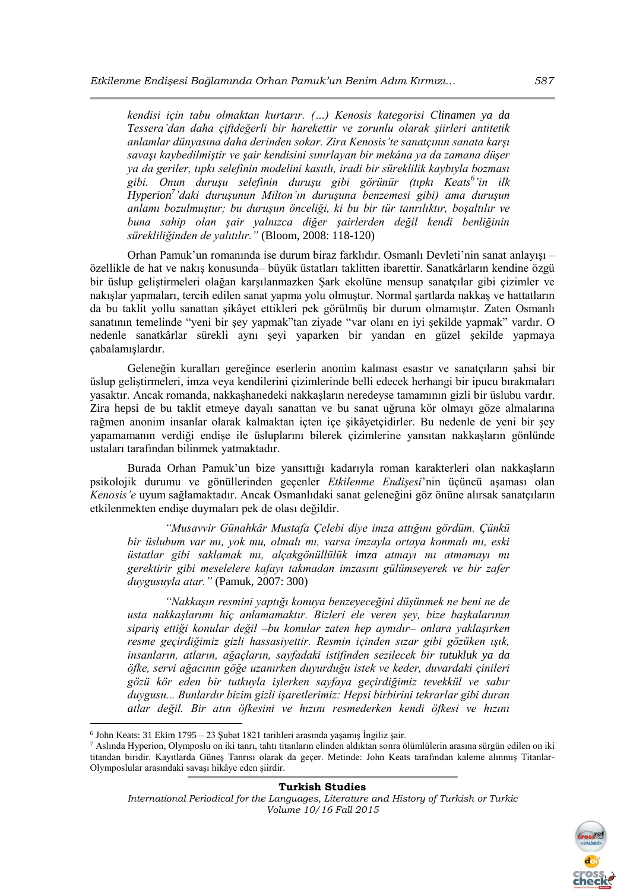*kendisi için tabu olmaktan kurtarır. (…) Kenosis kategorisi Clinamen ya da Tessera'dan daha çiftdeğerli bir harekettir ve zorunlu olarak şiirleri antitetik anlamlar dünyasına daha derinden sokar. Zira Kenosis'te sanatçının sanata karşı savaşı kaybedilmiştir ve şair kendisini sınırlayan bir mekâna ya da zamana düşer ya da geriler, tıpkı selefinin modelini kasıtlı, iradi bir süreklilik kaybıyla bozması gibi. Onun duruşu selefinin duruşu gibi görünür (tıpkı Keats<sup>6</sup> 'in ilk Hyperion<sup>7</sup> 'daki duruşunun Milton'ın duruşuna benzemesi gibi) ama duruşun anlamı bozulmuştur; bu duruşun önceliği, ki bu bir tür tanrılıktır, boşaltılır ve buna sahip olan şair yalnızca diğer şairlerden değil kendi benliğinin sürekliliğinden de yalıtılır."* (Bloom, 2008: 118-120)

Orhan Pamuk'un romanında ise durum biraz farklıdır. Osmanlı Devleti'nin sanat anlayışı – özellikle de hat ve nakış konusunda– büyük üstatları taklitten ibarettir. Sanatkârların kendine özgü bir üslup geliştirmeleri olağan karşılanmazken Şark ekolüne mensup sanatçılar gibi çizimler ve nakışlar yapmaları, tercih edilen sanat yapma yolu olmuştur. Normal şartlarda nakkaş ve hattatların da bu taklit yollu sanattan şikâyet ettikleri pek görülmüş bir durum olmamıştır. Zaten Osmanlı sanatının temelinde "yeni bir şey yapmak"tan ziyade "var olanı en iyi şekilde yapmak" vardır. O nedenle sanatkârlar sürekli aynı şeyi yaparken bir yandan en güzel şekilde yapmaya çabalamışlardır.

Geleneğin kuralları gereğince eserlerin anonim kalması esastır ve sanatçıların şahsi bir üslup geliştirmeleri, imza veya kendilerini çizimlerinde belli edecek herhangi bir ipucu bırakmaları yasaktır. Ancak romanda, nakkaşhanedeki nakkaşların neredeyse tamamının gizli bir üslubu vardır. Zira hepsi de bu taklit etmeye dayalı sanattan ve bu sanat uğruna kör olmayı göze almalarına rağmen anonim insanlar olarak kalmaktan içten içe şikâyetçidirler. Bu nedenle de yeni bir şey yapamamanın verdiği endişe ile üsluplarını bilerek çizimlerine yansıtan nakkaşların gönlünde ustaları tarafından bilinmek yatmaktadır.

Burada Orhan Pamuk'un bize yansıttığı kadarıyla roman karakterleri olan nakkaşların psikolojik durumu ve gönüllerinden geçenler *Etkilenme Endişesi*'nin üçüncü aşaması olan *Kenosis'e* uyum sağlamaktadır. Ancak Osmanlıdaki sanat geleneğini göz önüne alırsak sanatçıların etkilenmekten endişe duymaları pek de olası değildir.

*"Musavvir Günahkâr Mustafa Çelebi diye imza attığını gördüm. Çünkü bir üslubum var mı, yok mu, olmalı mı, varsa imzayla ortaya konmalı mı, eski üstatlar gibi saklamak mı, alçakgönüllülük imza atmayı mı atmamayı mı gerektirir gibi meselelere kafayı takmadan imzasını gülümseyerek ve bir zafer duygusuyla atar."* (Pamuk, 2007: 300)

*"Nakkaşın resmini yaptığı konuya benzeyeceğini düşünmek ne beni ne de usta nakkaşlarımı hiç anlamamaktır. Bizleri ele veren şey, bize başkalarının sipariş ettiği konular değil –bu konular zaten hep aynıdır– onlara yaklaşırken resme geçirdiğimiz gizli hassasiyettir. Resmin içinden sızar gibi gözüken ışık, insanların, atların, ağaçların, sayfadaki istifinden sezilecek bir tutukluk ya da öfke, servi ağacının göğe uzanırken duyurduğu istek ve keder, duvardaki çinileri gözü kör eden bir tutkuyla işlerken sayfaya geçirdiğimiz tevekkül ve sabır duygusu... Bunlardır bizim gizli işaretlerimiz: Hepsi birbirini tekrarlar gibi duran atlar değil. Bir atın öfkesini ve hızını resmederken kendi öfkesi ve hızını* 

1

#### **Turkish Studies**



<sup>6</sup> John Keats: 31 Ekim 1795 – 23 Şubat 1821 tarihleri arasında yaşamış İngiliz şair.

<sup>7</sup> Aslında Hyperion, Olymposlu on iki tanrı, tahtı titanların elinden aldıktan sonra ölümlülerin arasına sürgün edilen on iki titandan biridir. Kayıtlarda Güneş Tanrısı olarak da geçer. Metinde: John Keats tarafından kaleme alınmış Titanlar-Olymposlular arasındaki savaşı hikâye eden şiirdir.

*International Periodical for the Languages, Literature and History of Turkish or Turkic Volume 10/16 Fall 2015*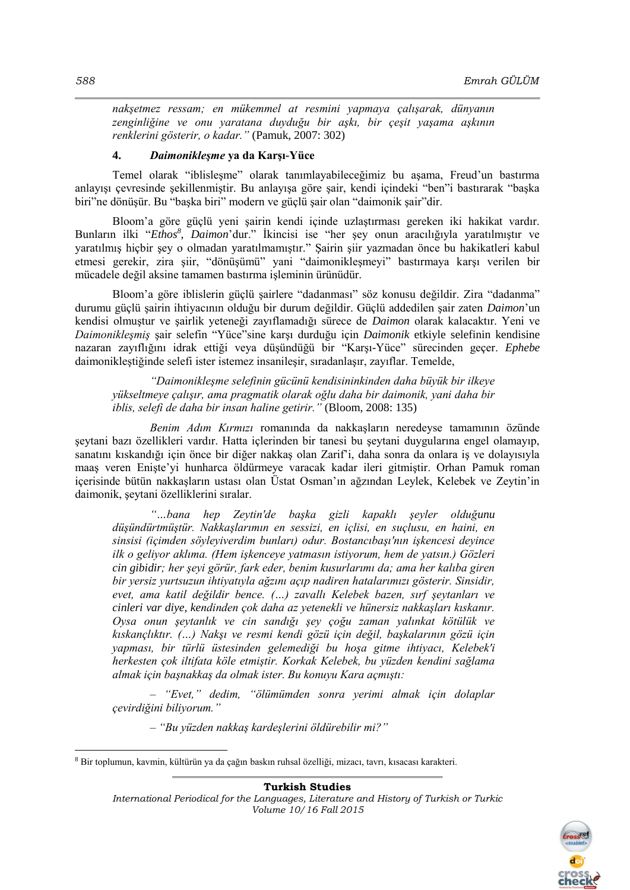*nakşetmez ressam; en mükemmel at resmini yapmaya çalışarak, dünyanın zenginliğine ve onu yaratana duyduğu bir aşkı, bir çeşit yaşama aşkının renklerini gösterir, o kadar."* (Pamuk, 2007: 302)

## **4.** *Daimonikleşme* **ya da Karşı-Yüce**

Temel olarak "iblisleşme" olarak tanımlayabileceğimiz bu aşama, Freud'un bastırma anlayışı çevresinde şekillenmiştir. Bu anlayışa göre şair, kendi içindeki "ben"i bastırarak "başka biri"ne dönüşür. Bu "başka biri" modern ve güçlü şair olan "daimonik şair"dir.

Bloom'a göre güçlü yeni şairin kendi içinde uzlaştırması gereken iki hakikat vardır. Bunların ilki "*Ethos<sup>8</sup>* , *Daimon*'dur." İkincisi ise "her şey onun aracılığıyla yaratılmıştır ve yaratılmış hiçbir şey o olmadan yaratılmamıştır." Şairin şiir yazmadan önce bu hakikatleri kabul etmesi gerekir, zira şiir, "dönüşümü" yani "daimonikleşmeyi" bastırmaya karşı verilen bir mücadele değil aksine tamamen bastırma işleminin ürünüdür.

Bloom'a göre iblislerin güçlü şairlere "dadanması" söz konusu değildir. Zira "dadanma" durumu güçlü şairin ihtiyacının olduğu bir durum değildir. Güçlü addedilen şair zaten *Daimon*'un kendisi olmuştur ve şairlik yeteneği zayıflamadığı sürece de *Daimon* olarak kalacaktır. Yeni ve *Daimonikleşmiş* şair selefin "Yüce"sine karşı durduğu için *Daimonik* etkiyle selefinin kendisine nazaran zayıflığını idrak ettiği veya düşündüğü bir "Karşı-Yüce" sürecinden geçer. *Ephebe* daimonikleştiğinde selefi ister istemez insanileşir, sıradanlaşır, zayıflar. Temelde,

*"Daimonikleşme selefinin gücünü kendisininkinden daha büyük bir ilkeye yükseltmeye çalışır, ama pragmatik olarak oğlu daha bir daimonik, yani daha bir iblis, selefi de daha bir insan haline getirir."* (Bloom, 2008: 135)

*Benim Adım Kırmızı* romanında da nakkaşların neredeyse tamamının özünde şeytani bazı özellikleri vardır. Hatta içlerinden bir tanesi bu şeytani duygularına engel olamayıp, sanatını kıskandığı için önce bir diğer nakkaş olan Zarif'i, daha sonra da onlara iş ve dolayısıyla maaş veren Enişte'yi hunharca öldürmeye varacak kadar ileri gitmiştir. Orhan Pamuk roman içerisinde bütün nakkaşların ustası olan Üstat Osman'ın ağzından Leylek, Kelebek ve Zeytin'in daimonik, şeytani özelliklerini sıralar.

*"…bana hep Zeytin'de başka gizli kapaklı şeyler olduğunu düşündürtmüştür. Nakkaşlarımın en sessizi, en içlisi, en suçlusu, en haini, en sinsisi (içimden söyleyiverdim bunları) odur. Bostancıbaşı'nın işkencesi deyince ilk o geliyor aklıma. (Hem işkenceye yatmasın istiyorum, hem de yatsın.) Gözleri cin gibidir; her şeyi görür, fark eder, benim kusurlarımı da; ama her kalıba giren bir yersiz yurtsuzun ihtiyatıyla ağzını açıp nadiren hatalarımızı gösterir. Sinsidir, evet, ama katil değildir bence. (…) zavallı Kelebek bazen, sırf şeytanları ve cinleri var diye, kendinden çok daha az yetenekli ve hünersiz nakkaşları kıskanır. Oysa onun şeytanlık ve cin sandığı şey çoğu zaman yalınkat kötülük ve kıskançlıktır. (…) Nakşı ve resmi kendi gözü için değil, başkalarının gözü için yapması, bir türlü üstesinden gelemediği bu hoşa gitme ihtiyacı, Kelebek'i herkesten çok iltifata köle etmiştir. Korkak Kelebek, bu yüzden kendini sağlama almak için başnakkaş da olmak ister. Bu konuyu Kara açmıştı:*

– *"Evet," dedim, "ölümümden sonra yerimi almak için dolaplar çevirdiğini biliyorum."*

– *"Bu yüzden nakkaş kardeşlerini öldürebilir mi?"*



 $\overline{a}$ 

<sup>8</sup> Bir toplumun, kavmin, kültürün ya da çağın baskın ruhsal özelliği, mizacı, tavrı, kısacası karakteri.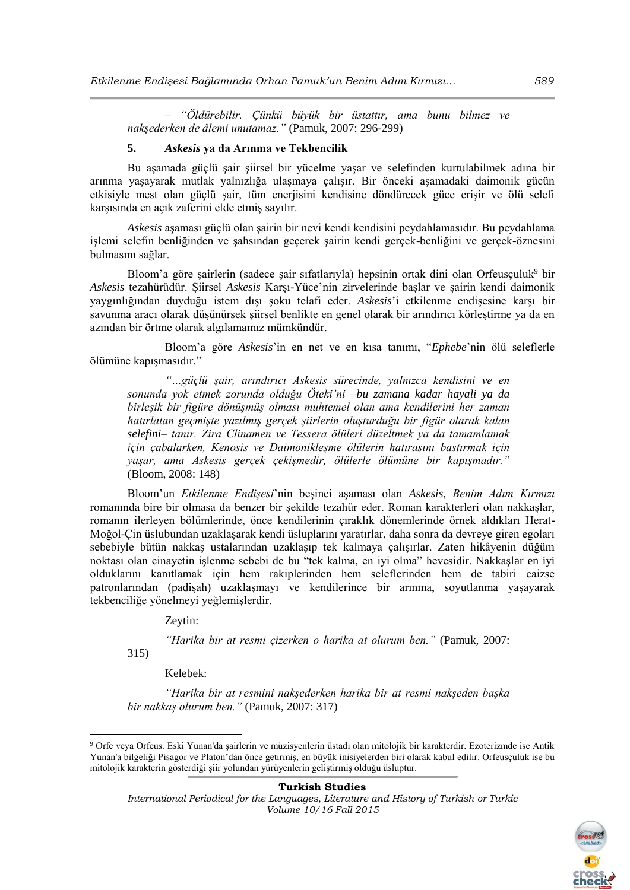– *"Öldürebilir. Çünkü büyük bir üstattır, ama bunu bilmez ve nakşederken de âlemi unutamaz."* (Pamuk, 2007: 296-299)

### **5.** *Askesis* **ya da Arınma ve Tekbencilik**

Bu aşamada güçlü şair şiirsel bir yücelme yaşar ve selefinden kurtulabilmek adına bir arınma yaşayarak mutlak yalnızlığa ulaşmaya çalışır. Bir önceki aşamadaki daimonik gücün etkisiyle mest olan güçlü şair, tüm enerjisini kendisine döndürecek güce erişir ve ölü selefi karşısında en açık zaferini elde etmiş sayılır.

*Askesis* aşaması güçlü olan şairin bir nevi kendi kendisini peydahlamasıdır. Bu peydahlama işlemi selefin benliğinden ve şahsından geçerek şairin kendi gerçek-benliğini ve gerçek-öznesini bulmasını sağlar.

Bloom'a göre sairlerin (sadece sair sıfatlarıyla) hepsinin ortak dini olan Orfeusculuk<sup>9</sup> bir *Askesis* tezahürüdür. Şiirsel *Askesis* Karşı-Yüce'nin zirvelerinde başlar ve şairin kendi daimonik yaygınlığından duyduğu istem dışı şoku telafi eder. *Askesis*'i etkilenme endişesine karşı bir savunma aracı olarak düşünürsek şiirsel benlikte en genel olarak bir arındırıcı körleştirme ya da en azından bir örtme olarak algılamamız mümkündür.

Bloom'a göre *Askesis*'in en net ve en kısa tanımı, "*Ephebe*'nin ölü seleflerle ölümüne kapışmasıdır."

*"…güçlü şair, arındırıcı Askesis sürecinde, yalnızca kendisini ve en sonunda yok etmek zorunda olduğu Öteki'ni –bu zamana kadar hayali ya da birleşik bir figüre dönüşmüş olması muhtemel olan ama kendilerini her zaman hatırlatan geçmişte yazılmış gerçek şiirlerin oluşturduğu bir figür olarak kalan selefini– tanır. Zira Clinamen ve Tessera ölüleri düzeltmek ya da tamamlamak için çabalarken, Kenosis ve Daimonikleşme ölülerin hatırasını bastırmak için yaşar, ama Askesis gerçek çekişmedir, ölülerle ölümüne bir kapışmadır."* (Bloom, 2008: 148)

Bloom'un *Etkilenme Endişesi*'nin beşinci aşaması olan *Askesis*, *Benim Adım Kırmızı*  romanında bire bir olmasa da benzer bir şekilde tezahür eder. Roman karakterleri olan nakkaşlar, romanın ilerleyen bölümlerinde, önce kendilerinin çıraklık dönemlerinde örnek aldıkları Herat-Moğol-Çin üslubundan uzaklaşarak kendi üsluplarını yaratırlar, daha sonra da devreye giren egoları sebebiyle bütün nakkaş ustalarından uzaklaşıp tek kalmaya çalışırlar. Zaten hikâyenin düğüm noktası olan cinayetin işlenme sebebi de bu "tek kalma, en iyi olma" hevesidir. Nakkaşlar en iyi olduklarını kanıtlamak için hem rakiplerinden hem seleflerinden hem de tabiri caizse patronlarından (padişah) uzaklaşmayı ve kendilerince bir arınma, soyutlanma yaşayarak tekbenciliğe yönelmeyi yeğlemişlerdir.

Zeytin:

*"Harika bir at resmi çizerken o harika at olurum ben."* (Pamuk, 2007:

315)

1

Kelebek:

*"Harika bir at resmini nakşederken harika bir at resmi nakşeden başka bir nakkaş olurum ben."* (Pamuk, 2007: 317)

### **Turkish Studies**



<sup>9</sup> Orfe veya Orfeus. Eski Yunan'da şairlerin ve müzisyenlerin üstadı olan mitolojik bir karakterdir. Ezoterizmde ise Antik Yunan'a bilgeliği Pisagor ve Platon'dan önce getirmiş, en büyük inisiyelerden biri olarak kabul edilir. Orfeusçuluk ise bu mitolojik karakterin gösterdiği şiir yolundan yürüyenlerin geliştirmiş olduğu üsluptur.

*International Periodical for the Languages, Literature and History of Turkish or Turkic Volume 10/16 Fall 2015*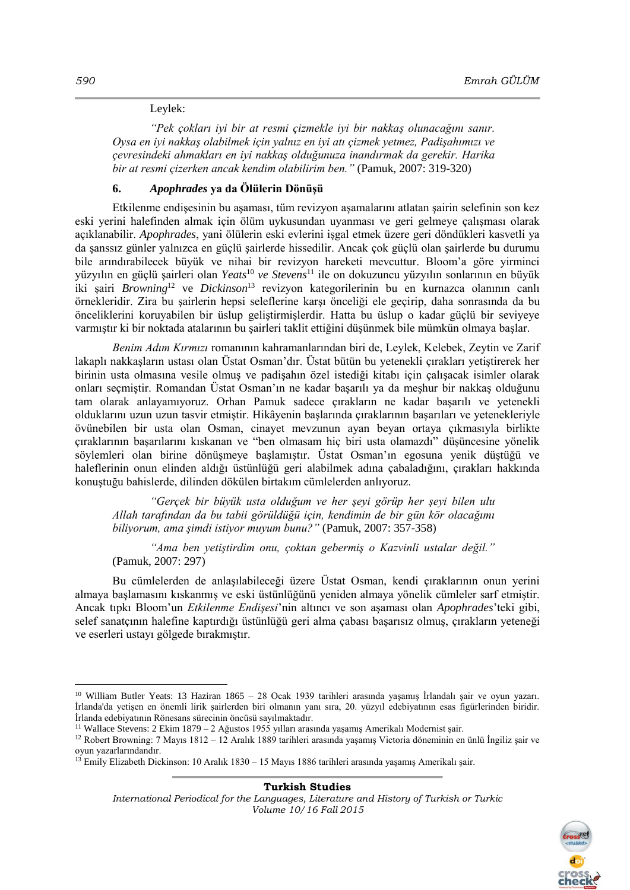### Leylek:

*"Pek çokları iyi bir at resmi çizmekle iyi bir nakkaş olunacağını sanır. Oysa en iyi nakkaş olabilmek için yalnız en iyi atı çizmek yetmez, Padişahımızı ve çevresindeki ahmakları en iyi nakkaş olduğunuza inandırmak da gerekir. Harika bir at resmi çizerken ancak kendim olabilirim ben."* (Pamuk, 2007: 319-320)

### **6.** *Apophrades* **ya da Ölülerin Dönüşü**

Etkilenme endişesinin bu aşaması, tüm revizyon aşamalarını atlatan şairin selefinin son kez eski yerini halefinden almak için ölüm uykusundan uyanması ve geri gelmeye çalışması olarak açıklanabilir. *Apophrades*, yani ölülerin eski evlerini işgal etmek üzere geri döndükleri kasvetli ya da şanssız günler yalnızca en güçlü şairlerde hissedilir. Ancak çok güçlü olan şairlerde bu durumu bile arındırabilecek büyük ve nihai bir revizyon hareketi mevcuttur. Bloom'a göre yirminci yüzyılın en güçlü şairleri olan *Yeats*<sup>10</sup> *ve Stevens*<sup>11</sup> ile on dokuzuncu yüzyılın sonlarının en büyük iki şairi *Browning*<sup>12</sup> ve *Dickinson*<sup>13</sup> revizyon kategorilerinin bu en kurnazca olanının canlı örnekleridir. Zira bu şairlerin hepsi seleflerine karşı önceliği ele geçirip, daha sonrasında da bu önceliklerini koruyabilen bir üslup geliştirmişlerdir. Hatta bu üslup o kadar güçlü bir seviyeye varmıştır ki bir noktada atalarının bu şairleri taklit ettiğini düşünmek bile mümkün olmaya başlar.

*Benim Adım Kırmızı* romanının kahramanlarından biri de, Leylek, Kelebek, Zeytin ve Zarif lakaplı nakkaşların ustası olan Üstat Osman'dır. Üstat bütün bu yetenekli çırakları yetiştirerek her birinin usta olmasına vesile olmuş ve padişahın özel istediği kitabı için çalışacak isimler olarak onları seçmiştir. Romandan Üstat Osman'ın ne kadar başarılı ya da meşhur bir nakkaş olduğunu tam olarak anlayamıyoruz. Orhan Pamuk sadece çırakların ne kadar başarılı ve yetenekli olduklarını uzun uzun tasvir etmiştir. Hikâyenin başlarında çıraklarının başarıları ve yetenekleriyle övünebilen bir usta olan Osman, cinayet mevzunun ayan beyan ortaya çıkmasıyla birlikte çıraklarının başarılarını kıskanan ve "ben olmasam hiç biri usta olamazdı" düşüncesine yönelik söylemleri olan birine dönüşmeye başlamıştır. Üstat Osman'ın egosuna yenik düştüğü ve haleflerinin onun elinden aldığı üstünlüğü geri alabilmek adına çabaladığını, çırakları hakkında konuştuğu bahislerde, dilinden dökülen birtakım cümlelerden anlıyoruz.

*"Gerçek bir büyük usta olduğum ve her şeyi görüp her şeyi bilen ulu Allah tarafından da bu tabii görüldüğü için, kendimin de bir gün kör olacağımı biliyorum, ama şimdi istiyor muyum bunu?"* (Pamuk, 2007: 357-358)

*"Ama ben yetiştirdim onu, çoktan gebermiş o Kazvinli ustalar değil."* (Pamuk, 2007: 297)

Bu cümlelerden de anlaşılabileceği üzere Üstat Osman, kendi çıraklarının onun yerini almaya başlamasını kıskanmış ve eski üstünlüğünü yeniden almaya yönelik cümleler sarf etmiştir. Ancak tıpkı Bloom'un *Etkilenme Endişesi*'nin altıncı ve son aşaması olan *Apophrades*'teki gibi, selef sanatçının halefine kaptırdığı üstünlüğü geri alma çabası başarısız olmuş, çırakların yeteneği ve eserleri ustayı gölgede bırakmıştır.

#### **Turkish Studies**



<sup>10</sup> William Butler Yeats: 13 Haziran 1865 – 28 Ocak 1939 tarihleri arasında yaşamış İrlandalı şair ve oyun yazarı. İrlanda'da yetişen en önemli lirik şairlerden biri olmanın yanı sıra, 20. yüzyıl edebiyatının esas figürlerinden biridir. İrlanda edebiyatının Rönesans sürecinin öncüsü sayılmaktadır.

<sup>11</sup> Wallace Stevens: 2 Ekim 1879 – 2 Ağustos 1955 yılları arasında yaşamış Amerikalı Modernist şair.

<sup>&</sup>lt;sup>12</sup> Robert Browning: 7 Mayıs 1812 – 12 Aralık 1889 tarihleri arasında yaşamış Victoria döneminin en ünlü İngiliz şair ve oyun yazarlarındandır.

<sup>13</sup> Emily Elizabeth Dickinson: 10 Aralık 1830 – 15 Mayıs 1886 tarihleri arasında yaşamış Amerikalı şair.

*International Periodical for the Languages, Literature and History of Turkish or Turkic Volume 10/16 Fall 2015*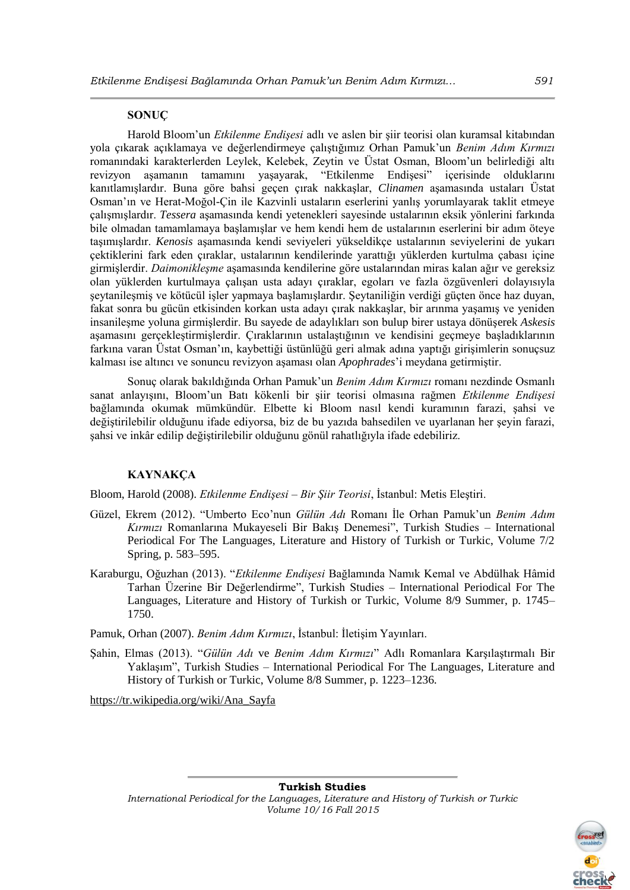## **SONUÇ**

Harold Bloom'un *Etkilenme Endişesi* adlı ve aslen bir şiir teorisi olan kuramsal kitabından yola çıkarak açıklamaya ve değerlendirmeye çalıştığımız Orhan Pamuk'un *Benim Adım Kırmızı*  romanındaki karakterlerden Leylek, Kelebek, Zeytin ve Üstat Osman, Bloom'un belirlediği altı revizyon aşamanın tamamını yaşayarak, "Etkilenme Endişesi" içerisinde olduklarını kanıtlamışlardır. Buna göre bahsi geçen çırak nakkaşlar, *Clinamen* aşamasında ustaları Üstat Osman'ın ve Herat-Moğol-Çin ile Kazvinli ustaların eserlerini yanlış yorumlayarak taklit etmeye çalışmışlardır. *Tessera* aşamasında kendi yetenekleri sayesinde ustalarının eksik yönlerini farkında bile olmadan tamamlamaya başlamışlar ve hem kendi hem de ustalarının eserlerini bir adım öteye taşımışlardır. *Kenosis* aşamasında kendi seviyeleri yükseldikçe ustalarının seviyelerini de yukarı çektiklerini fark eden çıraklar, ustalarının kendilerinde yarattığı yüklerden kurtulma çabası içine girmişlerdir. *Daimonikleşme* aşamasında kendilerine göre ustalarından miras kalan ağır ve gereksiz olan yüklerden kurtulmaya çalışan usta adayı çıraklar, egoları ve fazla özgüvenleri dolayısıyla şeytanileşmiş ve kötücül işler yapmaya başlamışlardır. Şeytaniliğin verdiği güçten önce haz duyan, fakat sonra bu gücün etkisinden korkan usta adayı çırak nakkaşlar, bir arınma yaşamış ve yeniden insanileşme yoluna girmişlerdir. Bu sayede de adaylıkları son bulup birer ustaya dönüşerek *Askesis* aşamasını gerçekleştirmişlerdir. Çıraklarının ustalaştığının ve kendisini geçmeye başladıklarının farkına varan Üstat Osman'ın, kaybettiği üstünlüğü geri almak adına yaptığı girişimlerin sonuçsuz kalması ise altıncı ve sonuncu revizyon aşaması olan *Apophrades*'i meydana getirmiştir.

Sonuç olarak bakıldığında Orhan Pamuk'un *Benim Adım Kırmızı* romanı nezdinde Osmanlı sanat anlayışını, Bloom'un Batı kökenli bir şiir teorisi olmasına rağmen *Etkilenme Endişesi*  bağlamında okumak mümkündür. Elbette ki Bloom nasıl kendi kuramının farazi, şahsi ve değiştirilebilir olduğunu ifade ediyorsa, biz de bu yazıda bahsedilen ve uyarlanan her şeyin farazi, şahsi ve inkâr edilip değiştirilebilir olduğunu gönül rahatlığıyla ifade edebiliriz.

# **KAYNAKÇA**

Bloom, Harold (2008). *Etkilenme Endişesi – Bir Şiir Teorisi*, İstanbul: Metis Eleştiri.

- Güzel, Ekrem (2012). "Umberto Eco'nun *Gülün Adı* Romanı İle Orhan Pamuk'un *Benim Adım Kırmızı* Romanlarına Mukayeseli Bir Bakış Denemesi", Turkish Studies – International Periodical For The Languages, Literature and History of Turkish or Turkic, Volume 7/2 Spring, p. 583–595.
- Karaburgu, Oğuzhan (2013). "*Etkilenme Endişesi* Bağlamında Namık Kemal ve Abdülhak Hâmid Tarhan Üzerine Bir Değerlendirme", Turkish Studies – International Periodical For The Languages, Literature and History of Turkish or Turkic, Volume 8/9 Summer, p. 1745– 1750.
- Pamuk, Orhan (2007). *Benim Adım Kırmızı*, İstanbul: İletişim Yayınları.
- Şahin, Elmas (2013). "*Gülün Adı* ve *Benim Adım Kırmızı*" Adlı Romanlara Karşılaştırmalı Bir Yaklaşım", Turkish Studies – International Periodical For The Languages, Literature and History of Turkish or Turkic, Volume 8/8 Summer, p. 1223–1236.

[https://tr.wikipedia.org/wiki/Ana\\_Sayfa](https://tr.wikipedia.org/wiki/Ana_Sayfa)